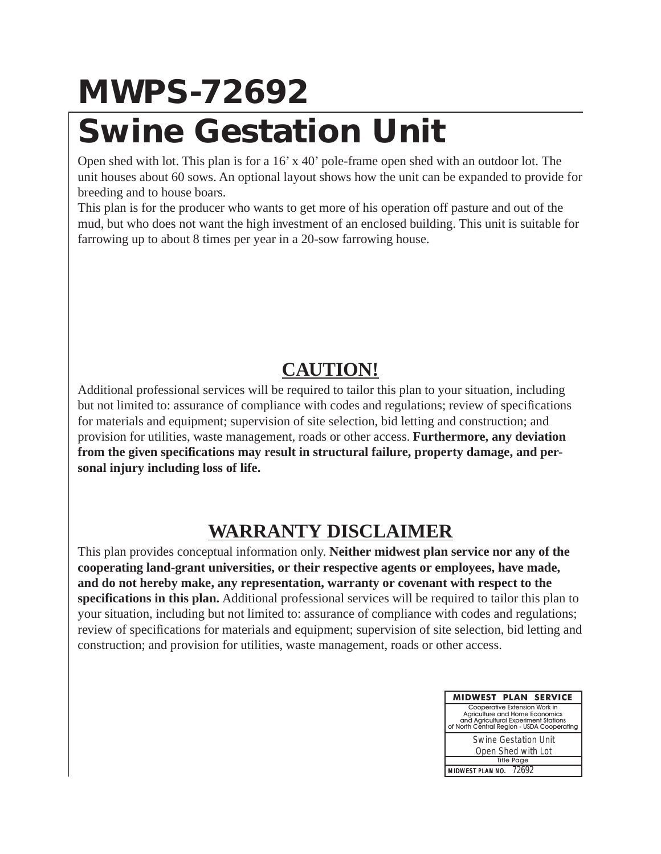## **MWPS-72692 Swine Gestation Unit**

Open shed with lot. This plan is for a 16' x 40' pole-frame open shed with an outdoor lot. The unit houses about 60 sows. An optional layout shows how the unit can be expanded to provide for breeding and to house boars.

This plan is for the producer who wants to get more of his operation off pasture and out of the mud, but who does not want the high investment of an enclosed building. This unit is suitable for farrowing up to about 8 times per year in a 20-sow farrowing house.

## **CAUTION!**

Additional professional services will be required to tailor this plan to your situation, including but not limited to: assurance of compliance with codes and regulations; review of specifications for materials and equipment; supervision of site selection, bid letting and construction; and provision for utilities, waste management, roads or other access. **Furthermore, any deviation from the given specifications may result in structural failure, property damage, and personal injury including loss of life.**

## **WARRANTY DISCLAIMER**

This plan provides conceptual information only. **Neither midwest plan service nor any of the cooperating land-grant universities, or their respective agents or employees, have made, and do not hereby make, any representation, warranty or covenant with respect to the specifications in this plan.** Additional professional services will be required to tailor this plan to your situation, including but not limited to: assurance of compliance with codes and regulations; review of specifications for materials and equipment; supervision of site selection, bid letting and construction; and provision for utilities, waste management, roads or other access.

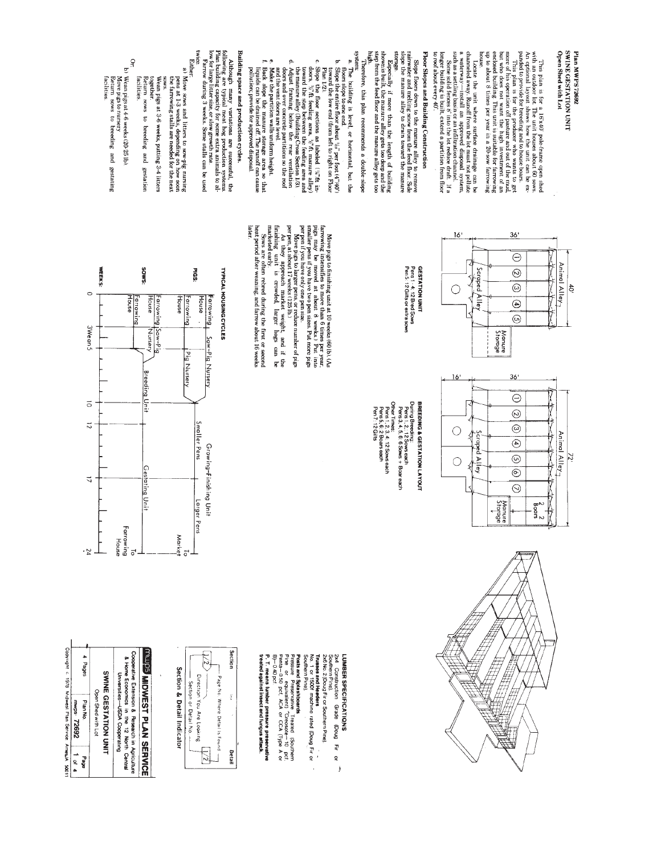This plan is for a 16'x40′ pole-frame open shed with optimal and the state of the state of the state of the state of the state of the state of the state of the state of the state of the state of the state of the state of twree.<br>Either: Locate the unit where surface drainings can be channels of the drainings can be channels of the surface of disposal system. Surface a such as  $\sim 0.000$  and  $\sim 0.000$  and  $\sim 0.000$  and  $\sim 0.0000$  and  $\sim 0.0000$  and  $\$ ya SWIND GESTATION UNIT Building space and production cycles. system storage. Floor Slopes and Building Construction to roof about every 40' nouse Open Shed with Lot Plan MWPS72692 O<del>r.</del><br>b)Wean pigs at 4-6 weeks (20-25 lb)<br>\*\* ---- "---" ex hamireery a. The building is level, or horizontal, but the boundary of the side the entire floor about  $\mathcal{W}_v$  per foot  $(4^n\mathcal{W})$  b. Slope the entire floor about  $\mathcal{W}_v$  per foot  $(4^n\mathcal{W})$  by slope the entire floor about  $\$ c. Slope,  $y_i^{\alpha}$  for exerions as labeled  $\left(\begin{array}{c} y_i^{\alpha} \text{th} : \text{tr} \\ \text{cov}(x_i^{\alpha}) = 0 \\ \text{cov}(x_i^{\alpha}) = 0 \\ \text{cov}(x_i^{\alpha}) = 0 \\ \text{cov}(x_i^{\alpha}) = 0 \\ \text{cov}(x_i^{\alpha}) = 0 \\ \text{cov}(x_i^{\alpha}) = 0 \\ \text{cov}(x_i^{\alpha}) = 0 \\ \text{cov}(x_i^{\alpha}) = 0 \\ \text{cov}(x_i^{\alpha}) = 0 \\ \text{cov}(x_i^{\alpha}) = 0 \\$ a) Move sows and litters to sow-pig nursing pens at  $1\text{-}3$  weeks, depending on how soon pens at  $1\text{-}3$  weeks, depending on how soon Back Plan 1/2). facilities. Wean pigs at 3-6 weeks, putting 3-4 litters tecturn sows to breeding and gestation cogetner **CANG** 











**GESTATION UNIT** 









Other Times:<br>Pens 1, 2, 3, 4: 12 Sows each<br>Pen 5, 6: 2 Boars each<br>Pen 7: 12 Gilts























Market

 $36'$ 

 $\ominus$ 

 $\overline{\odot}$ 

 $\overline{\circ}$ 

 $\odot$ 

 $\odot$ 

 $36'$ 

Manure<br>Storage

ハサハウ ハウマ Animal Alley<sub>7</sub>

**マムサ** 

サイヤイマイズ

 $\frac{2}{5}$ oars

Animal Alley<sub>7</sub>

Zi

 $\ddot{\varepsilon}$ 

up to about 8 times per year in a 20-sow farrowing

 $16'$ 

 $\bigcirc$ 

Scraped

i Alley

Slope floors down to the manure alley to remove rainwater and melting snow from the feed floor. Side slope the manure alley to drain toward the manure

Especially if more than the length of building shown is built.<br>shown is built, the manure alley gets too deep and the<br>step from the feed floor and the manure alley gets too

Therefore, this plan recommends a double-slope

- 
- 
- 
- 
- 
- 
- and the vent doors are level.<br>Make the partition walls uniform height.
- 
- 

## Back slope the manure storage area so that<br>liquids can be drained off. The runoff can cause

## pollution; provide for approved disposal.

# Although many variations are successful, the following many variations are successful, the following capacity for some extra annals to allow for large litter size, or slow growth rate. Therrow during  $3$  weeks. Some stall

Move pigs to nursery<br>Return sows to breeding and gestating

**WEEKS:** 

 $\circ$ 

3Wean 5

 $\vec{\circ}$ 

 $\overline{z}$ 

 $\overline{a}$ 

 $\frac{1}{2}$ 

Farrowing<br>House

 $\overline{a}$ 

facilities.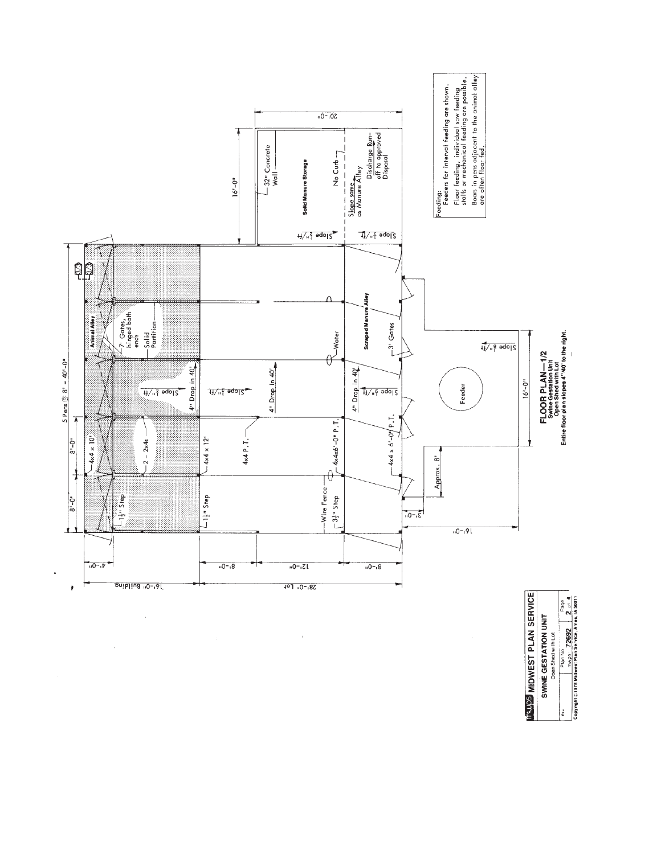

 $\bar{z}$ 

 $\bar{\mathcal{A}}$ 

**INVISE MIDWEST PLAN SERVICE** Free Plan No 2002 Panel Panel Page<br>Copyright ©1978 Midwest Pin Service, Amer. IA 50011 **SWINE GESTATION UNIT**<br>Open Shed with Lot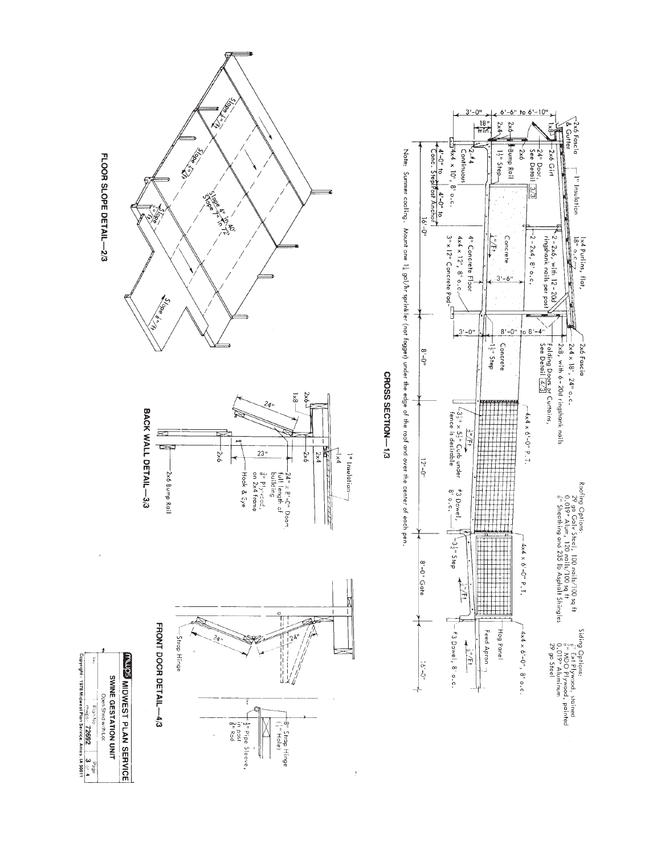



has is mimal cooling. Whome a statement of the sequence of the edgent of the edgent of the root doesn the conditional of the conditional of the conditional of the conditional of the conditional of  $\sim$ 

CROSS SECTION-1/3